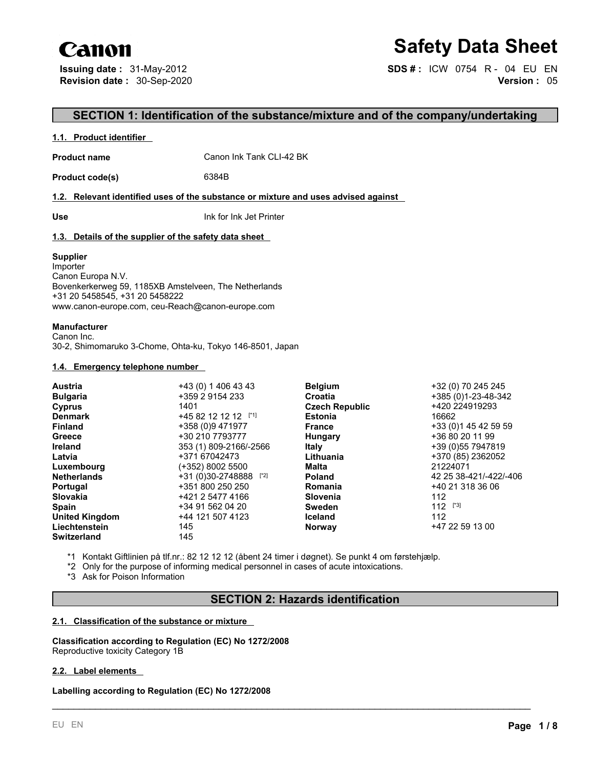# Canon

# **Safety Data Sheet**

**Issuing date :** 31-May-2012 **SDS # :** ICW 0754 R - 04 EU EN **Revision date :** 30-Sep-2020 **Version :** 05

# **SECTION 1: Identification of the substance/mixture and of the company/undertaking**

#### **1.1. Product identifier**

**Product name** Canon Ink Tank CLI-42 BK

**Product code(s)** 6384B

#### **1.2. Relevant identified uses of the substance or mixture and uses advised against**

**Use** Ink for Ink Jet Printer

#### **1.3. Details of the supplier of the safety data sheet**

#### **Supplier**

Importer Canon Europa N.V. Bovenkerkerweg 59, 1185XB Amstelveen, The Netherlands +31 20 5458545, +31 20 5458222 www.canon-europe.com, ceu-Reach@canon-europe.com

#### **Manufacturer**

Canon Inc. 30-2, Shimomaruko 3-Chome, Ohta-ku, Tokyo 146-8501, Japan

### **1.4. Emergency telephone number**

|                         |                     | +32 (0) 70 245 245                      |
|-------------------------|---------------------|-----------------------------------------|
| +359 2 9154 233         | Croatia             | +385 (0)1-23-48-342                     |
| 1401                    |                     | +420 224919293                          |
| $+4582121212$           | <b>Estonia</b>      | 16662                                   |
| +358 (0)9 471977        | <b>France</b>       | +33 (0) 145 42 59 59                    |
| +30 210 7793777         | Hungary             | +36 80 20 11 99                         |
| 353 (1) 809-2166/-2566  | <b>Italy</b>        | +39 (0) 55 7947819                      |
| +371 67042473           | Lithuania           | +370 (85) 2362052                       |
| (+352) 8002 5500        | Malta               | 21224071                                |
| $+31(0)30-2748888$ [*2] | <b>Poland</b>       | 42 25 38-421/-422/-406                  |
| +351 800 250 250        | Romania             | +40 21 318 36 06                        |
| +421 2 5477 4166        | Slovenia            | 112                                     |
| +34 91 562 04 20        | <b>Sweden</b>       | $112$ [*3]                              |
| +44 121 507 4123        | <b>Iceland</b>      | 112                                     |
| 145                     | <b>Norway</b>       | +47 22 59 13 00                         |
| 145                     |                     |                                         |
|                         | +43 (0) 1 406 43 43 | <b>Belgium</b><br><b>Czech Republic</b> |

\*1 Kontakt Giftlinien på tlf.nr.: 82 12 12 12 (åbent 24 timer i døgnet). Se punkt 4 om førstehjælp.

\*2 Only for the purpose of informing medical personnel in cases of acute intoxications.

\*3 Ask for Poison Information

# **SECTION 2: Hazards identification**

\_\_\_\_\_\_\_\_\_\_\_\_\_\_\_\_\_\_\_\_\_\_\_\_\_\_\_\_\_\_\_\_\_\_\_\_\_\_\_\_\_\_\_\_\_\_\_\_\_\_\_\_\_\_\_\_\_\_\_\_\_\_\_\_\_\_\_\_\_\_\_\_\_\_\_\_\_\_\_\_\_\_\_\_\_\_\_\_\_

#### **2.1. Classification of the substance or mixture**

**Classification according to Regulation (EC) No 1272/2008** Reproductive toxicity Category 1B

#### **2.2. Label elements**

**Labelling according to Regulation (EC) No 1272/2008**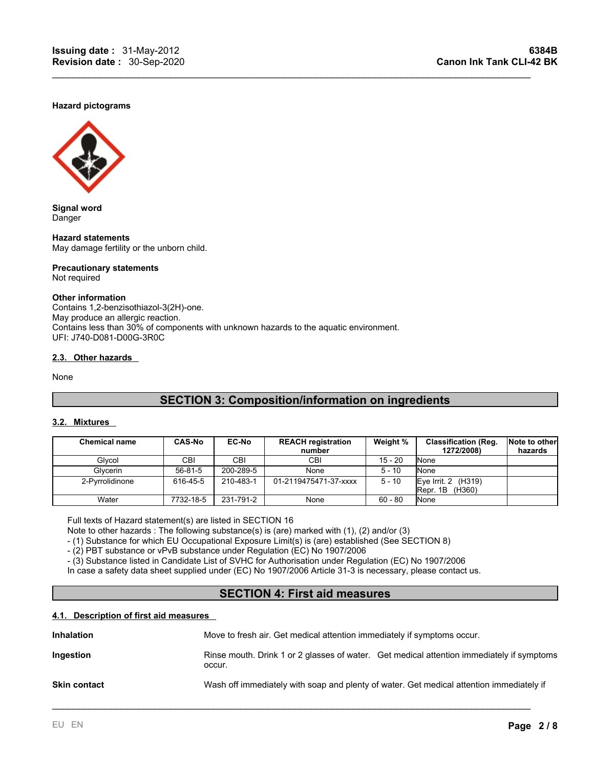#### **Hazard pictograms**



**Signal word** Danger

**Hazard statements** May damage fertility or the unborn child.

#### **Precautionary statements** Not required

#### **Other information**

Contains 1,2-benzisothiazol-3(2H)-one. May produce an allergic reaction. Contains less than 30% of components with unknown hazards to the aquatic environment. UFI: J740-D081-D00G-3R0C

### **2.3. Other hazards**

None

# **SECTION 3: Composition/information on ingredients**

 $\mathcal{L}_\mathcal{L} = \mathcal{L}_\mathcal{L} = \mathcal{L}_\mathcal{L} = \mathcal{L}_\mathcal{L} = \mathcal{L}_\mathcal{L} = \mathcal{L}_\mathcal{L} = \mathcal{L}_\mathcal{L} = \mathcal{L}_\mathcal{L} = \mathcal{L}_\mathcal{L} = \mathcal{L}_\mathcal{L} = \mathcal{L}_\mathcal{L} = \mathcal{L}_\mathcal{L} = \mathcal{L}_\mathcal{L} = \mathcal{L}_\mathcal{L} = \mathcal{L}_\mathcal{L} = \mathcal{L}_\mathcal{L} = \mathcal{L}_\mathcal{L}$ 

#### **3.2. Mixtures**

| <b>Chemical name</b> | <b>CAS-No</b> | <b>EC-No</b> | <b>REACH registration</b><br>number | Weight %  | <b>Classification (Reg.</b><br>1272/2008)                 | Note to other<br>hazards |
|----------------------|---------------|--------------|-------------------------------------|-----------|-----------------------------------------------------------|--------------------------|
| Glycol               | CBI           | CBI.         | СBІ                                 | $15 - 20$ | <b>None</b>                                               |                          |
| Glvcerin             | 56-81-5       | 200-289-5    | None                                | $5 - 10$  | <b>None</b>                                               |                          |
| 2-Pyrrolidinone      | 616-45-5      | 210-483-1    | 01-2119475471-37-xxxx               | $5 - 10$  | (H319)<br>Eve Irrit, 2<br>$\overline{R}$ epr. 1B $(H360)$ |                          |
| Water                | 7732-18-5     | 231-791-2    | None                                | $60 - 80$ | <b>None</b>                                               |                          |

Full texts of Hazard statement(s) are listed in SECTION 16

Note to other hazards : The following substance(s) is (are) marked with (1), (2) and/or (3)

- (1) Substance for which EU Occupational Exposure Limit(s) is (are) established (See SECTION 8)

- (2) PBT substance or vPvB substance under Regulation (EC) No 1907/2006

- (3) Substance listed in Candidate List of SVHC for Authorisation under Regulation (EC) No 1907/2006

In case a safety data sheet supplied under (EC) No 1907/2006 Article 31-3 is necessary, please contact us.

# **SECTION 4: First aid measures**

#### **4.1. Description of first aid measures**

| <b>Inhalation</b>   | Move to fresh air. Get medical attention immediately if symptoms occur.                             |  |
|---------------------|-----------------------------------------------------------------------------------------------------|--|
| Ingestion           | Rinse mouth. Drink 1 or 2 glasses of water. Get medical attention immediately if symptoms<br>occur. |  |
| <b>Skin contact</b> | Wash off immediately with soap and plenty of water. Get medical attention immediately if            |  |

\_\_\_\_\_\_\_\_\_\_\_\_\_\_\_\_\_\_\_\_\_\_\_\_\_\_\_\_\_\_\_\_\_\_\_\_\_\_\_\_\_\_\_\_\_\_\_\_\_\_\_\_\_\_\_\_\_\_\_\_\_\_\_\_\_\_\_\_\_\_\_\_\_\_\_\_\_\_\_\_\_\_\_\_\_\_\_\_\_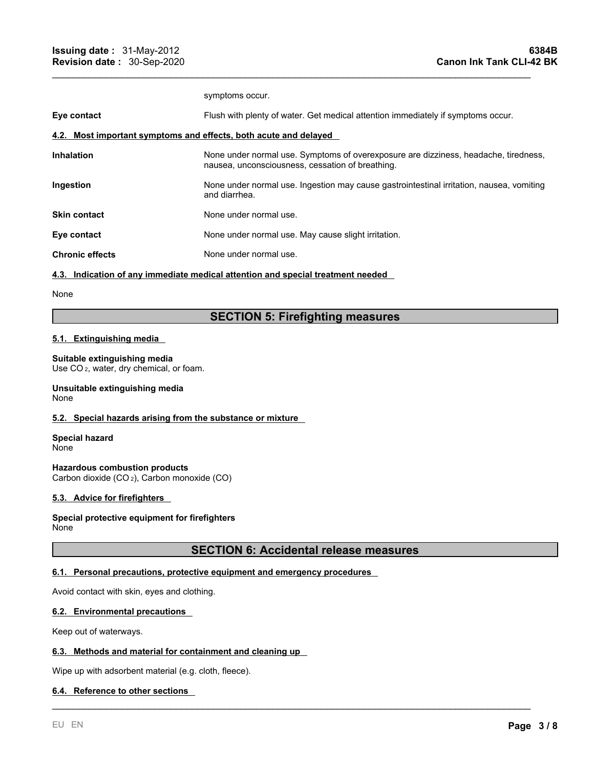|                                                                  | symptoms occur.                                                                                                                         |
|------------------------------------------------------------------|-----------------------------------------------------------------------------------------------------------------------------------------|
| Eye contact                                                      | Flush with plenty of water. Get medical attention immediately if symptoms occur.                                                        |
| 4.2. Most important symptoms and effects, both acute and delayed |                                                                                                                                         |
| <b>Inhalation</b>                                                | None under normal use. Symptoms of overexposure are dizziness, headache, tiredness,<br>nausea, unconsciousness, cessation of breathing. |
| Ingestion                                                        | None under normal use. Ingestion may cause gastrointestinal irritation, nausea, vomiting<br>and diarrhea.                               |
| <b>Skin contact</b>                                              | None under normal use.                                                                                                                  |
| Eye contact                                                      | None under normal use. May cause slight irritation.                                                                                     |
| <b>Chronic effects</b>                                           | None under normal use.                                                                                                                  |
|                                                                  |                                                                                                                                         |

 $\mathcal{L}_\mathcal{L} = \mathcal{L}_\mathcal{L} = \mathcal{L}_\mathcal{L} = \mathcal{L}_\mathcal{L} = \mathcal{L}_\mathcal{L} = \mathcal{L}_\mathcal{L} = \mathcal{L}_\mathcal{L} = \mathcal{L}_\mathcal{L} = \mathcal{L}_\mathcal{L} = \mathcal{L}_\mathcal{L} = \mathcal{L}_\mathcal{L} = \mathcal{L}_\mathcal{L} = \mathcal{L}_\mathcal{L} = \mathcal{L}_\mathcal{L} = \mathcal{L}_\mathcal{L} = \mathcal{L}_\mathcal{L} = \mathcal{L}_\mathcal{L}$ 

#### **4.3. Indication of any immediate medical attention and special treatment needed**

#### None

# **SECTION 5: Firefighting measures**

### **5.1. Extinguishing media**

#### **Suitable extinguishing media**

Use CO <sup>2</sup>, water, dry chemical, or foam.

#### **Unsuitable extinguishing media** None

#### **5.2. Special hazards arising from the substance or mixture**

**Special hazard** None

**Hazardous combustion products** Carbon dioxide (CO <sup>2</sup>), Carbon monoxide (CO)

#### **5.3. Advice for firefighters**

#### **Special protective equipment for firefighters** None

# **SECTION 6: Accidental release measures**

\_\_\_\_\_\_\_\_\_\_\_\_\_\_\_\_\_\_\_\_\_\_\_\_\_\_\_\_\_\_\_\_\_\_\_\_\_\_\_\_\_\_\_\_\_\_\_\_\_\_\_\_\_\_\_\_\_\_\_\_\_\_\_\_\_\_\_\_\_\_\_\_\_\_\_\_\_\_\_\_\_\_\_\_\_\_\_\_\_

#### **6.1. Personal precautions, protective equipment and emergency procedures**

Avoid contact with skin, eyes and clothing.

#### **6.2. Environmental precautions**

Keep out of waterways.

#### **6.3. Methods and material for containment and cleaning up**

Wipe up with adsorbent material (e.g. cloth, fleece).

#### **6.4. Reference to other sections**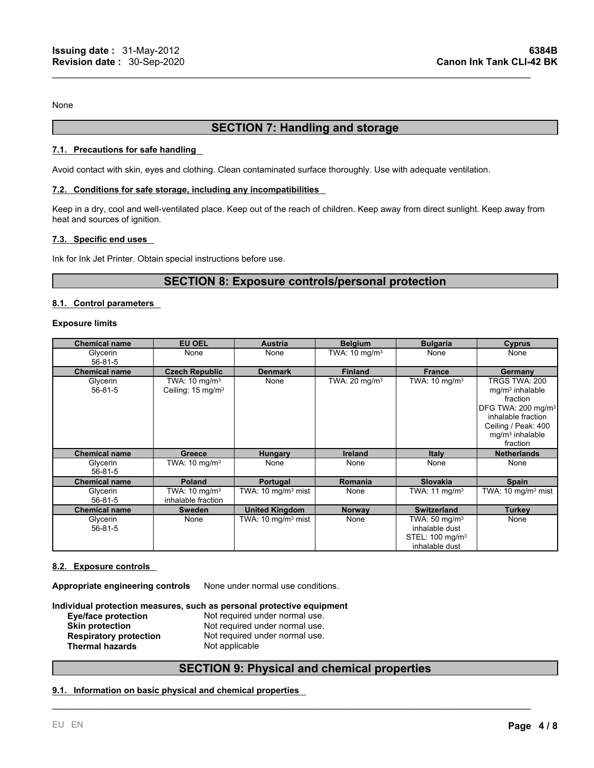None

# **SECTION 7: Handling and storage**

 $\mathcal{L}_\mathcal{L} = \mathcal{L}_\mathcal{L} = \mathcal{L}_\mathcal{L} = \mathcal{L}_\mathcal{L} = \mathcal{L}_\mathcal{L} = \mathcal{L}_\mathcal{L} = \mathcal{L}_\mathcal{L} = \mathcal{L}_\mathcal{L} = \mathcal{L}_\mathcal{L} = \mathcal{L}_\mathcal{L} = \mathcal{L}_\mathcal{L} = \mathcal{L}_\mathcal{L} = \mathcal{L}_\mathcal{L} = \mathcal{L}_\mathcal{L} = \mathcal{L}_\mathcal{L} = \mathcal{L}_\mathcal{L} = \mathcal{L}_\mathcal{L}$ 

#### **7.1. Precautions for safe handling**

Avoid contact with skin, eyes and clothing. Clean contaminated surface thoroughly. Use with adequate ventilation.

#### **7.2. Conditions for safe storage, including any incompatibilities**

Keep in a dry, cool and well-ventilated place. Keep out of the reach of children. Keep away from direct sunlight. Keep away from heat and sources of ignition.

#### **7.3. Specific end uses**

Ink for Ink Jet Printer. Obtain special instructions before use.

# **SECTION 8: Exposure controls/personal protection**

#### **8.1. Control parameters**

#### **Exposure limits**

| <b>Chemical name</b> | <b>EU OEL</b>                                             | <b>Austria</b>                | <b>Belgium</b>           | <b>Bulgaria</b>                                                                             | <b>Cyprus</b>                                                                                                                                                  |
|----------------------|-----------------------------------------------------------|-------------------------------|--------------------------|---------------------------------------------------------------------------------------------|----------------------------------------------------------------------------------------------------------------------------------------------------------------|
| Glycerin<br>56-81-5  | None                                                      | None                          | TWA: $10 \text{ mg/m}^3$ | None                                                                                        | None                                                                                                                                                           |
| <b>Chemical name</b> | <b>Czech Republic</b>                                     | <b>Denmark</b>                | <b>Finland</b>           | <b>France</b>                                                                               | Germany                                                                                                                                                        |
| Glycerin<br>56-81-5  | TWA: $10 \text{ mg/m}^3$<br>Ceiling: 15 mg/m <sup>3</sup> | None                          | TWA: $20 \text{ mg/m}^3$ | TWA: $10 \text{ mg/m}^3$                                                                    | TRGS TWA: 200<br>$mq/m3$ inhalable<br>fraction<br>DFG TWA: 200 mg/m <sup>3</sup><br>inhalable fraction<br>Ceiling / Peak: 400<br>$mg/m3$ inhalable<br>fraction |
| <b>Chemical name</b> | Greece                                                    | <b>Hungary</b>                | Ireland                  | <b>Italy</b>                                                                                | <b>Netherlands</b>                                                                                                                                             |
| Glycerin<br>56-81-5  | TWA: $10 \text{ mg/m}^3$                                  | None                          | None                     | None                                                                                        | None                                                                                                                                                           |
| <b>Chemical name</b> | <b>Poland</b>                                             | Portugal                      | <b>Romania</b>           | <b>Slovakia</b>                                                                             | Spain                                                                                                                                                          |
| Glycerin<br>56-81-5  | TWA: $10 \text{ mg/m}^3$<br>inhalable fraction            | TWA: $10 \text{ mg/m}^3$ mist | None                     | TWA: $11 \text{ mg/m}^3$                                                                    | TWA: 10 mg/m <sup>3</sup> mist                                                                                                                                 |
| <b>Chemical name</b> | <b>Sweden</b>                                             | <b>United Kingdom</b>         | <b>Norway</b>            | <b>Switzerland</b>                                                                          | <b>Turkey</b>                                                                                                                                                  |
| Glycerin<br>56-81-5  | None                                                      | TWA: $10 \text{ mg/m}^3$ mist | None                     | TWA: $50 \text{ mg/m}^3$<br>inhalable dust<br>STEL: 100 mg/m <sup>3</sup><br>inhalable dust | None                                                                                                                                                           |

#### **8.2. Exposure controls**

**Thermal hazards** 

**Appropriate engineering controls** None under normal use conditions.

**Individual protection measures, such as personal protective equipment Eye/face protection** Not required under normal use. **Skin protection Not required under normal use.**<br> **Respiratory protection Not required under normal use.** Not required under normal use.<br>Not applicable

# **SECTION 9: Physical and chemical properties**

\_\_\_\_\_\_\_\_\_\_\_\_\_\_\_\_\_\_\_\_\_\_\_\_\_\_\_\_\_\_\_\_\_\_\_\_\_\_\_\_\_\_\_\_\_\_\_\_\_\_\_\_\_\_\_\_\_\_\_\_\_\_\_\_\_\_\_\_\_\_\_\_\_\_\_\_\_\_\_\_\_\_\_\_\_\_\_\_\_

#### **9.1. Information on basic physical and chemical properties**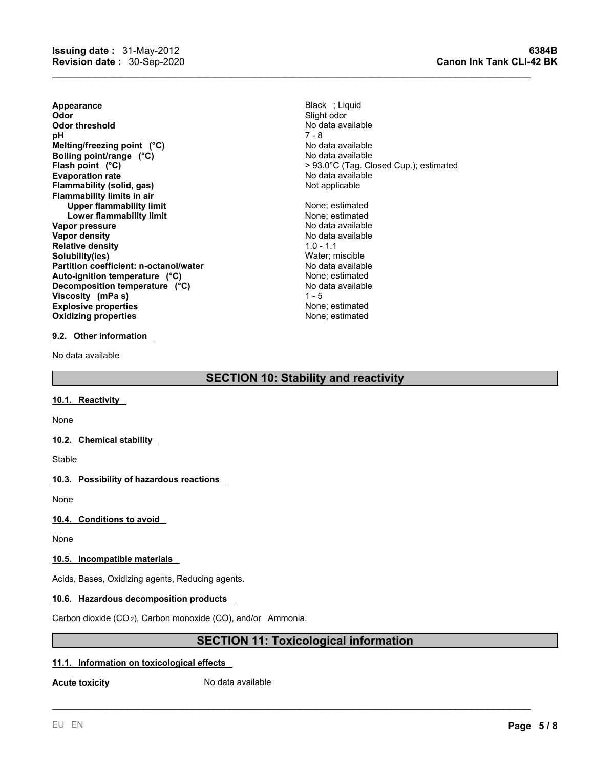**Appearance** Black ; Liquid **Odor** Slight odor **Odor threshold** No data available No data available **pH** 7 - 8 **Evaporation rate Figure 1.1 Contract Accord Accord Accord Accord Accord Accord Accord Planning Reserves Accord Accord Planning Planning Planning Planning Planning Planning Planning Planning Planning Planning Planning Pl Flammability** (solid, gas) **Flammability limits in air Upper flammability limit** None; estimated **Lower flammability limit**<br> **Example: 1999 The Society of the Society Property Conduct Ave and No data available Vapor pressure<br>Vapor density Relative density Solubility(ies)** Water; miscible **Partition coefficient: n-octanol/water** No data available **Explosive properties Explosive properties none**  $\alpha$  **None**; estimated **Oxidizing properties CONFIDENTIAL EXECUTE:** None; estimated **Melting/freezing point** (°C) No data available **Boiling point/range** (°C) No data available **Flash point (°C)**> 93.0°C (Tag. Closed Cup.); estimated Auto-ignition temperature (°C) <br>Decomposition temperature (°C) No data available **Decomposition temperature** (°C) **Viscosity (mPa s)**

#### **9.2. Other information**

No data available

# **SECTION 10: Stability and reactivity**

#### **10.1. Reactivity**

None

#### **10.2. Chemical stability**

Stable

#### **10.3. Possibility of hazardous reactions**

None

#### **10.4. Conditions to avoid**

None

### **10.5. Incompatible materials**

Acids, Bases, Oxidizing agents, Reducing agents.

#### **10.6. Hazardous decomposition products**

Carbon dioxide (CO <sup>2</sup>), Carbon monoxide (CO), and/or Ammonia.

# **SECTION 11: Toxicological information**

\_\_\_\_\_\_\_\_\_\_\_\_\_\_\_\_\_\_\_\_\_\_\_\_\_\_\_\_\_\_\_\_\_\_\_\_\_\_\_\_\_\_\_\_\_\_\_\_\_\_\_\_\_\_\_\_\_\_\_\_\_\_\_\_\_\_\_\_\_\_\_\_\_\_\_\_\_\_\_\_\_\_\_\_\_\_\_\_\_

#### **11.1. Information on toxicological effects**

**Acute toxicity No data available** 

**No data available**<br>1.0 - 1.1

 $1 - 5$ 

 $\mathcal{L}_\mathcal{L} = \mathcal{L}_\mathcal{L} = \mathcal{L}_\mathcal{L} = \mathcal{L}_\mathcal{L} = \mathcal{L}_\mathcal{L} = \mathcal{L}_\mathcal{L} = \mathcal{L}_\mathcal{L} = \mathcal{L}_\mathcal{L} = \mathcal{L}_\mathcal{L} = \mathcal{L}_\mathcal{L} = \mathcal{L}_\mathcal{L} = \mathcal{L}_\mathcal{L} = \mathcal{L}_\mathcal{L} = \mathcal{L}_\mathcal{L} = \mathcal{L}_\mathcal{L} = \mathcal{L}_\mathcal{L} = \mathcal{L}_\mathcal{L}$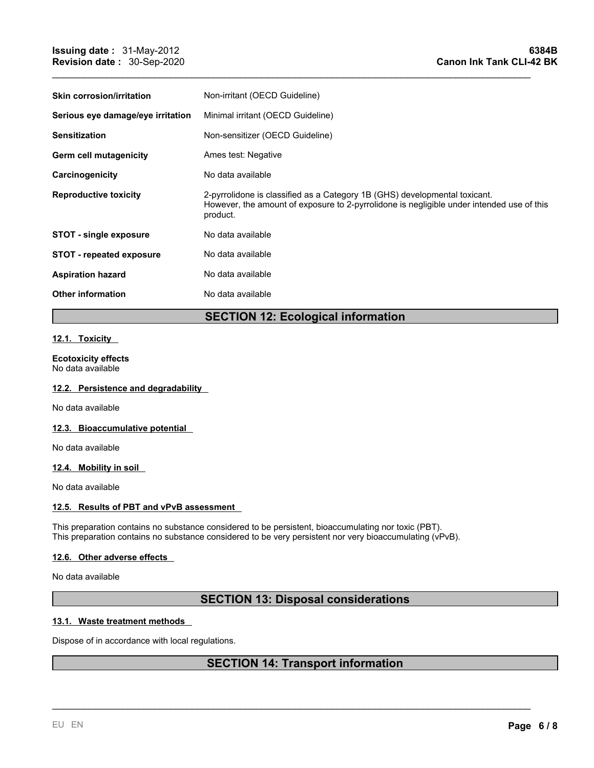| Minimal irritant (OECD Guideline)<br>Non-sensitizer (OECD Guideline)<br>Ames test: Negative<br>No data available<br>2-pyrrolidone is classified as a Category 1B (GHS) developmental toxicant.<br>However, the amount of exposure to 2-pyrrolidone is negligible under intended use of this<br>product.<br>No data available<br>No data available<br>No data available<br>No data available | <b>Skin corrosion/irritation</b>  | Non-irritant (OECD Guideline) |
|---------------------------------------------------------------------------------------------------------------------------------------------------------------------------------------------------------------------------------------------------------------------------------------------------------------------------------------------------------------------------------------------|-----------------------------------|-------------------------------|
|                                                                                                                                                                                                                                                                                                                                                                                             | Serious eye damage/eye irritation |                               |
|                                                                                                                                                                                                                                                                                                                                                                                             | <b>Sensitization</b>              |                               |
|                                                                                                                                                                                                                                                                                                                                                                                             | Germ cell mutagenicity            |                               |
|                                                                                                                                                                                                                                                                                                                                                                                             | Carcinogenicity                   |                               |
|                                                                                                                                                                                                                                                                                                                                                                                             | <b>Reproductive toxicity</b>      |                               |
|                                                                                                                                                                                                                                                                                                                                                                                             | <b>STOT - single exposure</b>     |                               |
|                                                                                                                                                                                                                                                                                                                                                                                             | <b>STOT - repeated exposure</b>   |                               |
|                                                                                                                                                                                                                                                                                                                                                                                             | <b>Aspiration hazard</b>          |                               |
|                                                                                                                                                                                                                                                                                                                                                                                             | <b>Other information</b>          |                               |

 $\mathcal{L}_\mathcal{L} = \mathcal{L}_\mathcal{L} = \mathcal{L}_\mathcal{L} = \mathcal{L}_\mathcal{L} = \mathcal{L}_\mathcal{L} = \mathcal{L}_\mathcal{L} = \mathcal{L}_\mathcal{L} = \mathcal{L}_\mathcal{L} = \mathcal{L}_\mathcal{L} = \mathcal{L}_\mathcal{L} = \mathcal{L}_\mathcal{L} = \mathcal{L}_\mathcal{L} = \mathcal{L}_\mathcal{L} = \mathcal{L}_\mathcal{L} = \mathcal{L}_\mathcal{L} = \mathcal{L}_\mathcal{L} = \mathcal{L}_\mathcal{L}$ 

# **SECTION 12: Ecological information**

# **12.1. Toxicity**

# **Ecotoxicity effects**

No data available

#### **12.2. Persistence and degradability**

No data available

#### **12.3. Bioaccumulative potential**

No data available

#### **12.4. Mobility in soil**

No data available

#### **12.5. Results of PBT and vPvB assessment**

This preparation contains no substance considered to be persistent, bioaccumulating nor toxic (PBT). This preparation contains no substance considered to be very persistent nor very bioaccumulating (vPvB).

#### **12.6. Other adverse effects**

No data available

# **SECTION 13: Disposal considerations**

#### **13.1. Waste treatment methods**

Dispose of in accordance with local regulations.

# **SECTION 14: Transport information**

\_\_\_\_\_\_\_\_\_\_\_\_\_\_\_\_\_\_\_\_\_\_\_\_\_\_\_\_\_\_\_\_\_\_\_\_\_\_\_\_\_\_\_\_\_\_\_\_\_\_\_\_\_\_\_\_\_\_\_\_\_\_\_\_\_\_\_\_\_\_\_\_\_\_\_\_\_\_\_\_\_\_\_\_\_\_\_\_\_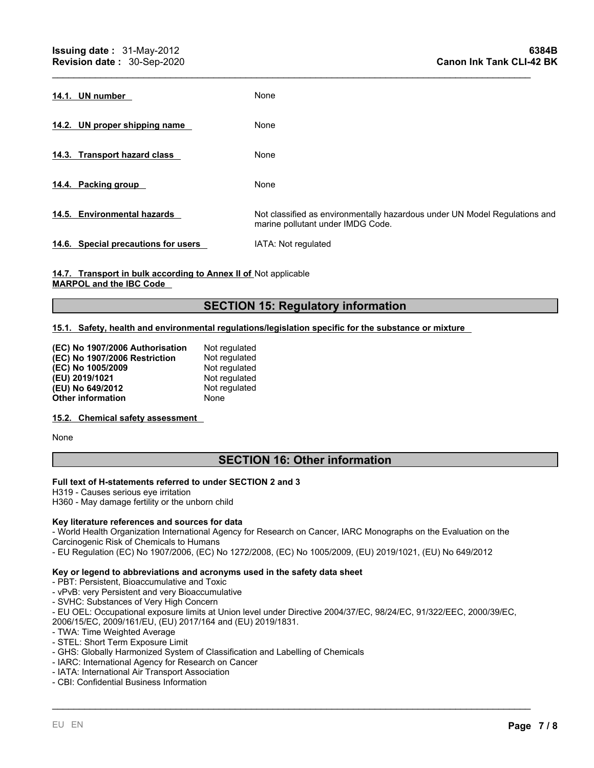| 14.1. UN number                     | None                                                                                                            |
|-------------------------------------|-----------------------------------------------------------------------------------------------------------------|
| 14.2. UN proper shipping name       | None                                                                                                            |
| 14.3. Transport hazard class        | None                                                                                                            |
| 14.4. Packing group                 | None                                                                                                            |
| 14.5. Environmental hazards         | Not classified as environmentally hazardous under UN Model Regulations and<br>marine pollutant under IMDG Code. |
| 14.6. Special precautions for users | IATA: Not regulated                                                                                             |

 $\mathcal{L}_\mathcal{L} = \mathcal{L}_\mathcal{L} = \mathcal{L}_\mathcal{L} = \mathcal{L}_\mathcal{L} = \mathcal{L}_\mathcal{L} = \mathcal{L}_\mathcal{L} = \mathcal{L}_\mathcal{L} = \mathcal{L}_\mathcal{L} = \mathcal{L}_\mathcal{L} = \mathcal{L}_\mathcal{L} = \mathcal{L}_\mathcal{L} = \mathcal{L}_\mathcal{L} = \mathcal{L}_\mathcal{L} = \mathcal{L}_\mathcal{L} = \mathcal{L}_\mathcal{L} = \mathcal{L}_\mathcal{L} = \mathcal{L}_\mathcal{L}$ 

**14.7. Transport in bulk according to Annex II of** Not applicable **MARPOL and the IBC Code**

# **SECTION 15: Regulatory information**

#### **15.1. Safety, health and environmental regulations/legislation specific for the substance or mixture**

| (EC) No 1907/2006 Authorisation | Not regulated |
|---------------------------------|---------------|
| (EC) No 1907/2006 Restriction   | Not regulated |
| (EC) No 1005/2009               | Not regulated |
| (EU) 2019/1021                  | Not regulated |
| (EU) No 649/2012                | Not regulated |
| <b>Other information</b>        | None          |

#### **15.2. Chemical safety assessment**

None

# **SECTION 16: Other information**

#### **Full text of H-statements referred to underSECTION 2 and 3**

H319 - Causes serious eye irritation

H360 - May damage fertility or the unborn child

#### **Key literature references and sources for data**

- World Health Organization International Agency for Research on Cancer, IARC Monographs on the Evaluation on the Carcinogenic Risk of Chemicals to Humans

- EU Regulation (EC) No 1907/2006, (EC) No 1272/2008, (EC) No 1005/2009, (EU) 2019/1021, (EU) No 649/2012

#### **Key or legend to abbreviations and acronyms used in the safety data sheet**

- PBT: Persistent, Bioaccumulative and Toxic

- vPvB: very Persistent and very Bioaccumulative
- SVHC: Substances of Very High Concern

- EU OEL: Occupational exposure limits at Union level under Directive 2004/37/EC, 98/24/EC, 91/322/EEC, 2000/39/EC,

\_\_\_\_\_\_\_\_\_\_\_\_\_\_\_\_\_\_\_\_\_\_\_\_\_\_\_\_\_\_\_\_\_\_\_\_\_\_\_\_\_\_\_\_\_\_\_\_\_\_\_\_\_\_\_\_\_\_\_\_\_\_\_\_\_\_\_\_\_\_\_\_\_\_\_\_\_\_\_\_\_\_\_\_\_\_\_\_\_

2006/15/EC, 2009/161/EU, (EU) 2017/164 and (EU) 2019/1831.

- TWA: Time Weighted Average
- STEL: Short Term Exposure Limit
- GHS: Globally Harmonized System of Classification and Labelling of Chemicals
- IARC: International Agency for Research on Cancer
- IATA: International Air Transport Association
- CBI: Confidential Business Information